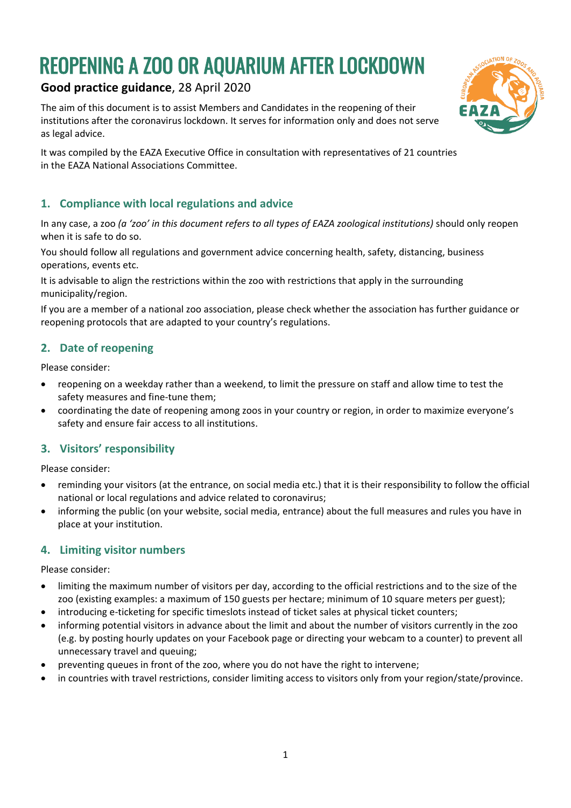# REOPENING A ZOO OR AQUARIUM AFTER LOCKDOWN

# **Good practice guidance**, 28 April 2020

The aim of this document is to assist Members and Candidates in the reopening of their institutions after the coronavirus lockdown. It serves for information only and does not serve as legal advice.

It was compiled by the EAZA Executive Office in consultation with representatives of 21 countries in the EAZA National Associations Committee.

# **1. Compliance with local regulations and advice**

In any case, a zoo *(a 'zoo' in this document refers to all types of EAZA zoological institutions)* should only reopen when it is safe to do so.

You should follow all regulations and government advice concerning health, safety, distancing, business operations, events etc.

It is advisable to align the restrictions within the zoo with restrictions that apply in the surrounding municipality/region.

If you are a member of a national zoo association, please check whether the association has further guidance or reopening protocols that are adapted to your country's regulations.

# **2. Date of reopening**

Please consider:

- reopening on a weekday rather than a weekend, to limit the pressure on staff and allow time to test the safety measures and fine-tune them;
- coordinating the date of reopening among zoos in your country or region, in order to maximize everyone's safety and ensure fair access to all institutions.

#### **3. Visitors' responsibility**

Please consider:

- reminding your visitors (at the entrance, on social media etc.) that it is their responsibility to follow the official national or local regulations and advice related to coronavirus;
- informing the public (on your website, social media, entrance) about the full measures and rules you have in place at your institution.

#### **4. Limiting visitor numbers**

Please consider:

- limiting the maximum number of visitors per day, according to the official restrictions and to the size of the zoo (existing examples: a maximum of 150 guests per hectare; minimum of 10 square meters per guest);
- introducing e-ticketing for specific timeslots instead of ticket sales at physical ticket counters;
- informing potential visitors in advance about the limit and about the number of visitors currently in the zoo (e.g. by posting hourly updates on your Facebook page or directing your webcam to a counter) to prevent all unnecessary travel and queuing;
- preventing queues in front of the zoo, where you do not have the right to intervene;
- in countries with travel restrictions, consider limiting access to visitors only from your region/state/province.